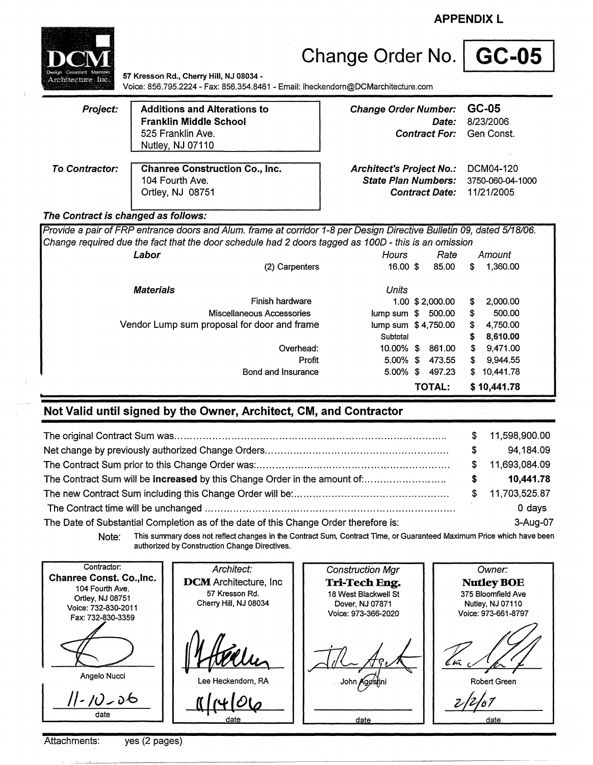**APPENDIX** L



# Change Order No. | GC-05

**57 Kresson Rd., Cherry** Hill, **NJ 08034** - Voice: 856.795.2224- Fax: 856.354.8461 - Email: lheckendom@DCMarchitecture.com

| Project: | <b>Additions and Alterations to</b><br><b>Franklin Middle School</b> |
|----------|----------------------------------------------------------------------|
|          | 525 Franklin Ave.                                                    |
|          | Nutley, NJ 07110                                                     |

**Change Order Number: GC-05 Date:** 8/23/2006 **Contract For:** Gen Const.

**To Contractor: Chanree Construction Co., Inc.**  104 Fourth Ave. Ortley, NJ 08751 **Contract Date:** 11/21/2005

**Architect's Project No.:** DCM04-120 **State Plan Numbers:** 3750-060-04-1000

#### **The Contract is changed as follows:**

| Provide a pair of FRP entrance doors and Alum. frame at corridor 1-8 per Design Directive Bulletin 09, dated 5/18/06. |                           |                     |      |                  |     |             |  |
|-----------------------------------------------------------------------------------------------------------------------|---------------------------|---------------------|------|------------------|-----|-------------|--|
| Change required due the fact that the door schedule had 2 doors tagged as 100D - this is an omission                  |                           |                     |      |                  |     |             |  |
| Labor                                                                                                                 |                           | Hours               | Rate |                  |     | Amount      |  |
|                                                                                                                       | (2) Carpenters            | 16.00 \$            |      | 85.00            | S.  | 1,360.00    |  |
| <b>Materials</b>                                                                                                      |                           | Units               |      |                  |     |             |  |
|                                                                                                                       | Finish hardware           |                     |      | 1.00 \$ 2,000.00 | S   | 2.000.00    |  |
|                                                                                                                       | Miscellaneous Accessories | lump sum \$         |      | 500.00           | S.  | 500.00      |  |
| Vendor Lump sum proposal for door and frame                                                                           |                           | lump sum \$4,750.00 |      |                  | S   | 4,750,00    |  |
|                                                                                                                       |                           | Subtotal            |      |                  |     | 8.610.00    |  |
|                                                                                                                       | Overhead:                 | 10.00% \$           |      | 861.00           | \$  | 9.471.00    |  |
|                                                                                                                       | Profit                    | 5.00%               | S.   | 473.55           | \$. | 9.944.55    |  |
|                                                                                                                       | Bond and Insurance        | 5.00%               | \$   | 497.23           | S.  | 10,441.78   |  |
|                                                                                                                       |                           |                     |      | <b>TOTAL:</b>    |     | \$10,441.78 |  |

# **Not Valid until signed by the Owner, Architect, CM, and Contractor**

|                                                                                      |     | 11,598,900.00 |
|--------------------------------------------------------------------------------------|-----|---------------|
|                                                                                      | S.  | 94.184.09     |
|                                                                                      | S.  | 11,693,084.09 |
|                                                                                      | s   | 10,441.78     |
|                                                                                      | SS. | 11,703,525.87 |
|                                                                                      |     | 0 days        |
| The Date of Substantial Completion as of the date of this Change Order therefore is: |     | 3-Aug-07      |

Note: This summary does not reflect changes in the Contract Sum, Contract Time, or Guaranteed Maximum Price which have been authorized by Construction Change Directives.

Contractor: Architect: Construction Mgr Owner. Chanree Const. Co.,lnc. **DCM** Architecture, Inc. **Tri-Tech Eng. NudeyBOE**  104 Fourth Ave. 57 Kresson Rd. 18 West Blackwell St 375 Bloomfield Ave Ortley, NJ 08751 Cherry Hill, NJ 08034 Dover, NJ 07871 Nutley, NJ 07110 Voice: 732-830-2011 Voice: 973-366-2020 Voice: 973-661-8797 Fax: 732-830-3359<br>
Angelo Nucci  $\frac{1}{\sqrt{2}}\frac{1}{\sqrt{2}}$ Angelo Nucci Robert Green Lee Heckendorn, RA  $2/2/67$ *I/-*1u - v1::, date date date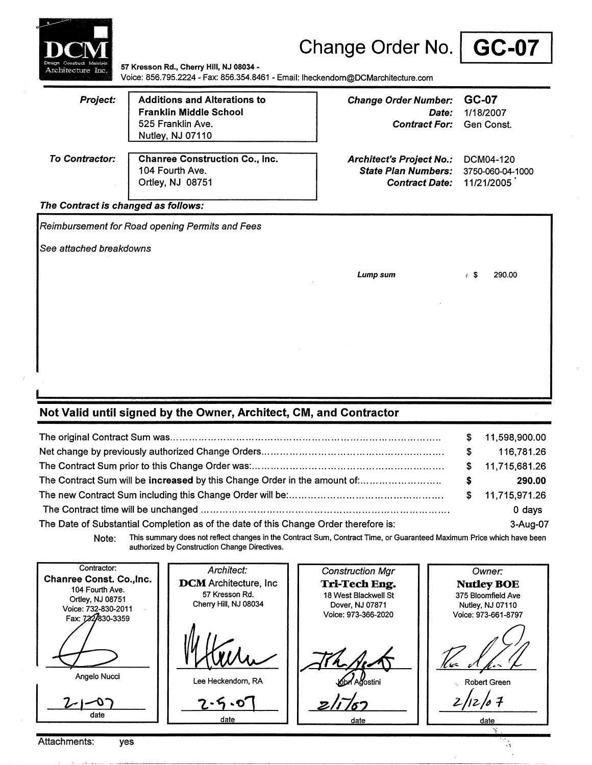| Architecture Inc.                   | 57 Kresson Rd., Cherry Hill, NJ 08034 -<br>Voice: 856.795.2224 - Fax: 856.354.8461 - Email: lheckendorn@DCMarchitecture.com | Change Order No.   GC-07                                                               |                                             |
|-------------------------------------|-----------------------------------------------------------------------------------------------------------------------------|----------------------------------------------------------------------------------------|---------------------------------------------|
| <b>Project:</b>                     | <b>Additions and Alterations to</b><br><b>Franklin Middle School</b><br>525 Franklin Ave.<br>Nutley, NJ 07110               | <b>Change Order Number:</b><br>Date:<br><b>Contract For:</b>                           | GC-07<br>1/18/2007<br>Gen Const.            |
| <b>To Contractor:</b>               | <b>Chanree Construction Co., Inc.</b><br>104 Fourth Ave.<br>Ortley, NJ 08751                                                | <b>Architect's Project No.:</b><br><b>State Plan Numbers:</b><br><b>Contract Date:</b> | DCM04-120<br>3750-060-04-1000<br>11/21/2005 |
| The Contract is changed as follows: |                                                                                                                             |                                                                                        |                                             |
|                                     | Reimbursement for Road opening Permits and Fees                                                                             |                                                                                        |                                             |
| See attached breakdowns             |                                                                                                                             |                                                                                        |                                             |
|                                     |                                                                                                                             | Lump sum                                                                               | $\epsilon$ S<br>290.00                      |
|                                     |                                                                                                                             |                                                                                        |                                             |
|                                     |                                                                                                                             |                                                                                        |                                             |
|                                     |                                                                                                                             |                                                                                        |                                             |
|                                     |                                                                                                                             |                                                                                        |                                             |

### **Not Valid until signed by the Owner, Architect, CM, and Contractor**

|                                                                                      | S.  | 11,598,900.00    |
|--------------------------------------------------------------------------------------|-----|------------------|
|                                                                                      | SS. | 116,781.26       |
|                                                                                      |     | \$ 11,715,681.26 |
| The Contract Sum will be increased by this Change Order in the amount of:            | s.  | 290.00           |
|                                                                                      |     | \$ 11,715,971.26 |
|                                                                                      |     | 0 days           |
| The Date of Substantial Completion as of the date of this Change Order therefore is: |     | 3-Aug-07         |

**Note:** This summary does not reflect changes in the Contract Sum, Contract Time, or Guaranteed Maximum Price which have been authorized by Construction Change Directives.

''

Contractor: Architect: Construction Mgr Owner: **Chanree Const. Co.,lnc. DCM** Architecture, Inc **Tri-Tech Eng.** Nutley BOE<br>18 West Blackwell St 375 Bloomfield Ave 104 Fourth Ave. 57 Kresson Rd. 18 West Blackwell St **18 St 2018** 375 Bloomfield Ave<br>
Dover, NJ 07871 Nutley, NJ 07110 Ortley, NJ 08751 Cherry Hill, NJ 08034<br>Dover, NJ 0<br>Lee Heckendom, RA Cherry Hill, NJ 08034 Nutley, NJ 07110 Voice: 732-830-2011 Voice: 973-366-2020 Voice: 973-661-8797 Fax: 722830-3359  $2\pi$ *ft of the flux of final I*  Angelo Nucci .\_ Robert Green  $z/\sqrt{52}$   $| \frac{z}{z}$ -O **-Z.-11 .. o:]**  date date date date date -~ ..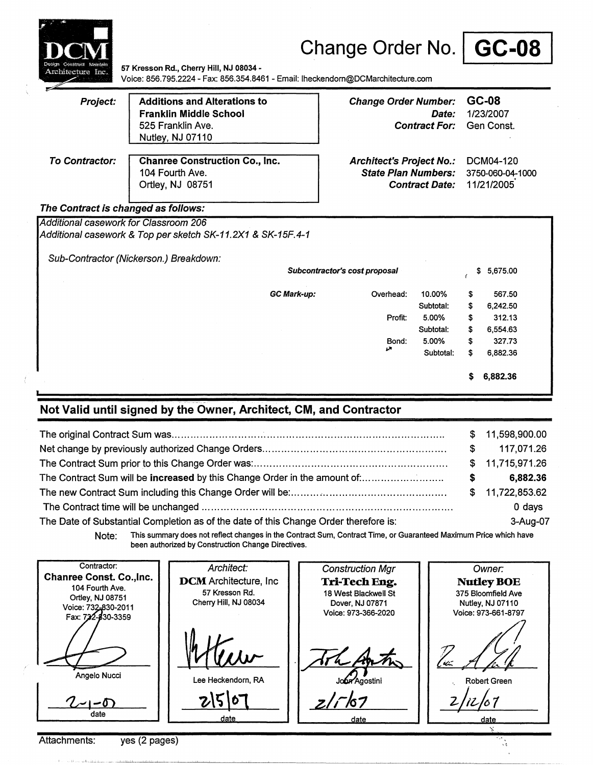|                                       |                                                                                                                             |                    | Change Order No.   GC-08                                                               |                               |                                             |                                  |  |
|---------------------------------------|-----------------------------------------------------------------------------------------------------------------------------|--------------------|----------------------------------------------------------------------------------------|-------------------------------|---------------------------------------------|----------------------------------|--|
| Architecture Inc.                     | 57 Kresson Rd., Cherry Hill, NJ 08034 -<br>Voice: 856.795.2224 - Fax: 856.354.8461 - Email: lheckendorn@DCMarchitecture.com |                    |                                                                                        |                               |                                             |                                  |  |
| Project:                              | <b>Additions and Alterations to</b><br><b>Franklin Middle School</b><br>525 Franklin Ave.<br>Nutley, NJ 07110               |                    | <b>Change Order Number:</b>                                                            | Date:<br><b>Contract For:</b> |                                             | GC-08<br>1/23/2007<br>Gen Const. |  |
| To Contractor:                        | <b>Chanree Construction Co., Inc.</b><br>104 Fourth Ave.<br>Ortley, NJ 08751                                                |                    | <b>Architect's Project No.:</b><br><b>State Plan Numbers:</b><br><b>Contract Date:</b> |                               | DCM04-120<br>3750-060-04-1000<br>11/21/2005 |                                  |  |
| The Contract is changed as follows:   |                                                                                                                             |                    |                                                                                        |                               |                                             |                                  |  |
| Additional casework for Classroom 206 |                                                                                                                             |                    |                                                                                        |                               |                                             |                                  |  |
|                                       | Additional casework & Top per sketch SK-11.2X1 & SK-15F.4-1                                                                 |                    |                                                                                        |                               |                                             |                                  |  |
|                                       | Sub-Contractor (Nickerson.) Breakdown:                                                                                      |                    |                                                                                        |                               |                                             |                                  |  |
|                                       |                                                                                                                             |                    | Subcontractor's cost proposal                                                          |                               | \$                                          | 5,675.00                         |  |
|                                       |                                                                                                                             | <b>GC Mark-up:</b> | Overhead:<br>Profit:                                                                   | 10.00%<br>Subtotal:<br>5.00%  | \$<br>\$<br>\$                              | 567.50<br>6,242.50<br>312.13     |  |
|                                       |                                                                                                                             |                    |                                                                                        | Subtotal:                     | \$                                          | 6,554.63                         |  |
|                                       |                                                                                                                             |                    | Bond:                                                                                  | 5.00%                         | \$                                          | 327.73                           |  |
|                                       |                                                                                                                             |                    | حما                                                                                    | Subtotal:                     | \$                                          | 6.882.36                         |  |
|                                       |                                                                                                                             |                    |                                                                                        |                               | s                                           | 6,882.36                         |  |

# **Not Valid until signed by the Owner, Architect, CM, and Contractor**

|                                                                                      |    | \$11,598,900.00 |
|--------------------------------------------------------------------------------------|----|-----------------|
|                                                                                      | S. | 117,071.26      |
|                                                                                      |    | \$11,715,971.26 |
| The Contract Sum will be increased by this Change Order in the amount of:            | S. | 6,882.36        |
|                                                                                      |    | \$11,722,853.62 |
|                                                                                      |    | $0$ days        |
| The Date of Substantial Completion as of the date of this Change Order therefore is: |    | 3-Aug-07        |
|                                                                                      |    |                 |

Note: This summary does not reflect changes in the Contract Sum, Contract Time, or Guaranteed Maximum Price which have been authorized by Construction Change Directives.

 $\mathcal{A}_k$ 

| Contractor:                                                                                                        | Architect:                                                               | <b>Construction Mgr</b>                                                         | Owner:                                                                             |
|--------------------------------------------------------------------------------------------------------------------|--------------------------------------------------------------------------|---------------------------------------------------------------------------------|------------------------------------------------------------------------------------|
| <b>Chanree Const. Co., Inc.</b><br>104 Fourth Ave.<br>Ortley, NJ 08751<br>Voice: 732-830-2011<br>Fax: 722-830-3359 | <b>DCM</b> Architecture, Inc.<br>57 Kresson Rd.<br>Cherry Hill, NJ 08034 | Tri-Tech Eng.<br>18 West Blackwell St<br>Dover, NJ 07871<br>Voice: 973-366-2020 | <b>Nutley BOE</b><br>375 Bloomfield Ave<br>Nutley, NJ 07110<br>Voice: 973-661-8797 |
| Angelo Nucci                                                                                                       | Lee Heckendorn, RA                                                       | tothe Anthony<br>John Agostini                                                  | u:<br>Robert Green                                                                 |
| date                                                                                                               | date                                                                     | 2/7/67<br>date                                                                  | date                                                                               |

Attachments: yes (2 pages)

لشابتك تسدد بصناططف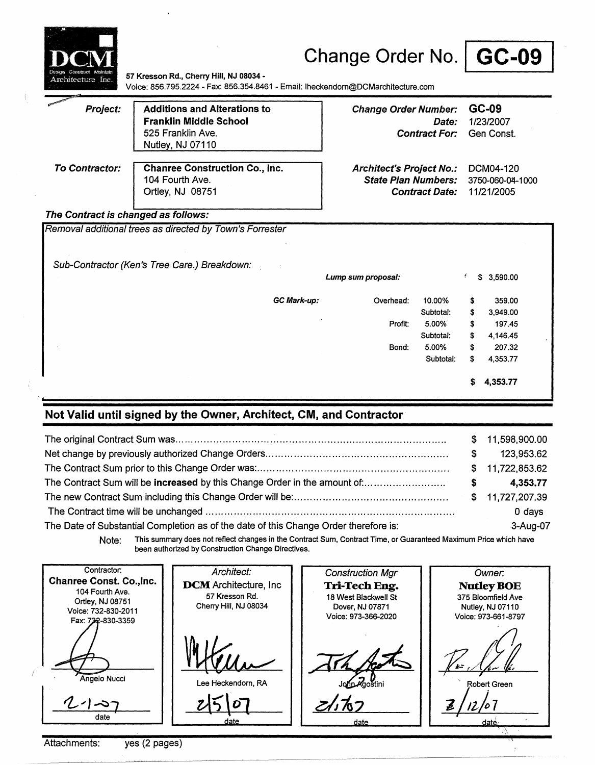| Construct Absintair<br>Architecture Inc. | 57 Kresson Rd., Cherry Hill, NJ 08034 -<br>Voice: 856.795.2224 - Fax: 856.354.8461 - Email: Iheckendorn@DCMarchitecture.com | Change Order No.   GC-09                                                               |                                      |                                             |                                  |
|------------------------------------------|-----------------------------------------------------------------------------------------------------------------------------|----------------------------------------------------------------------------------------|--------------------------------------|---------------------------------------------|----------------------------------|
| Project:                                 | <b>Additions and Alterations to</b><br><b>Franklin Middle School</b><br>525 Franklin Ave.<br>Nutley, NJ 07110               | <b>Change Order Number:</b>                                                            | <i>Date:</i><br><b>Contract For:</b> |                                             | GC-09<br>1/23/2007<br>Gen Const. |
| <b>To Contractor:</b>                    | <b>Chanree Construction Co., Inc.</b><br>104 Fourth Ave.<br>Ortley, NJ 08751                                                | <b>Architect's Project No.:</b><br><b>State Plan Numbers:</b><br><b>Contract Date:</b> |                                      | DCM04-120<br>3750-060-04-1000<br>11/21/2005 |                                  |
| The Contract is changed as follows:      | Removal additional trees as directed by Town's Forrester                                                                    |                                                                                        |                                      |                                             |                                  |
|                                          | Sub-Contractor (Ken's Tree Care.) Breakdown:                                                                                | Lump sum proposal:                                                                     |                                      | f                                           | \$3,590.00                       |
|                                          | GC Mark-up:                                                                                                                 | Overhead:                                                                              | 10.00%<br>Subtotal:                  | \$<br>\$                                    | 359.00<br>3.949.00               |
|                                          |                                                                                                                             | Profit:                                                                                | 5.00%<br>Subtotal:                   | \$<br>\$                                    | 197.45<br>4.146.45               |
|                                          |                                                                                                                             | Bond:                                                                                  | 5.00%<br>Subtotal:                   | \$<br>S                                     | 207.32<br>4.353.77               |

\$ **4,353.77** 

## **Not Valid until signed by the Owner, Architect, CM, and Contractor**

|                                                                                      |    | \$11,598,900.00 |
|--------------------------------------------------------------------------------------|----|-----------------|
|                                                                                      | S. | 123,953.62      |
|                                                                                      |    | \$11,722,853.62 |
|                                                                                      | s. | 4,353.77        |
|                                                                                      |    |                 |
|                                                                                      |    | 0 days          |
| The Date of Substantial Completion as of the date of this Change Order therefore is: |    | 3-Aug-07        |

Note: This summary does not reflect changes in the Contract Sum, Contract Time, or Guaranteed Maximum Price which have been authorized by Construction Change Directives.

Contractor: Architect: Construction Mgr Owner: **Chanree Const. Co.,lnc. DCM** Architecture, Inc **Tri-Tech Eng. NutleyBOE**  104 Fourth Ave. 57 Kresson Rd. 18 West Blackwell St 375 Bloomfield Ave Ortley, **NJ** 08751 Cherry Hill, NJ 08034 Dover, NJ 07871 Nutley, NJ 07110 Voice: 732-830-2011 Voice: 973-366-2020 Voice: 973-661-8797 Fax: 732-830-3359 The Scotting Angelo Nucci leckendorn, RA Robert Green *-zbzfa7* <u>zlito 7</u>  $\bm{\hat{c}}$  $\frac{1}{\text{date}}$ date date daté

Attachments: yes (2 pages)

 $\mathfrak{t}$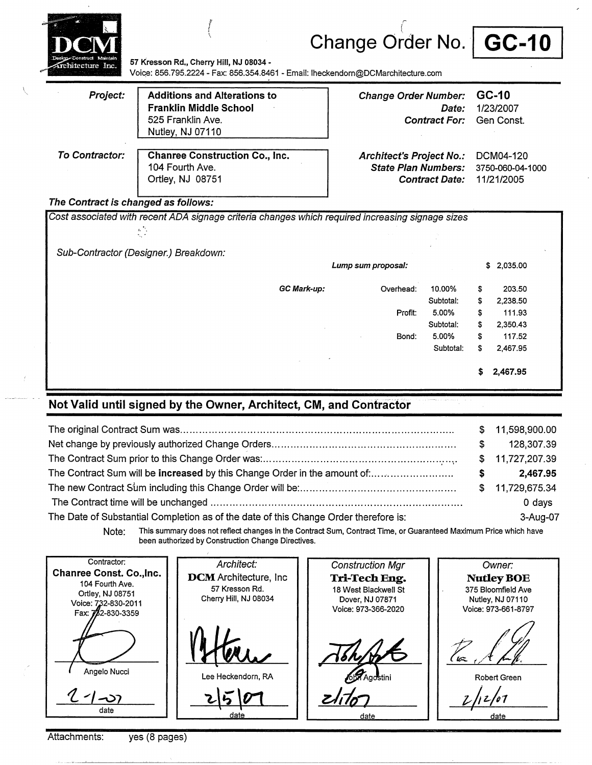



**State Plan Numbers:** 3750-060-04-1000 **Contract Date:** 11/21/2005

**57 Kresson Rd.,** Cherry Hill, **NJ 08034** - Voiqe: 856.795.2224- Fax: 856.354.8461 - Email: lheckendom@DCMarchitecture.com

*f*  i<br>Chang o  $\mathcal{E}$ 

| Project:       | <b>Additions and Alterations to</b><br><b>Franklin Middle School</b><br>525 Franklin Ave.<br>Nutley, NJ 07110 | Change Order Number: GC-10<br>Date:<br><b>Contract For:</b> Gen Const.     | 1/23/2007 |
|----------------|---------------------------------------------------------------------------------------------------------------|----------------------------------------------------------------------------|-----------|
| To Contractor: | <b>Chanree Construction Co., Inc.</b><br>104 Fourth Ave.                                                      | Architect's Project No.: DCM04-120<br>State Plan Numbers: 3750-060-04-1000 |           |

#### The Contract is changed as follows:

Ortley, NJ 08751

Cost associated with recent ADA signage criteria changes which required increasing signage sizes  $\frac{\hbar}{\hbar}$  , Sub-Contractor (Designer.) Breakdown: **GCMark-up: Lump sum proposal:**  Overhead: Profit: Bond: 10.00% Subtotal: **5.00%**  Subtotal: **5.00%**  \$ **2,035.00**  \$ **203.50**  \$ **2,238.50**  \$ 111.93 \$ **2,350.43**  \$ **117.52**  Subtotal: \$ **2,467.95**  \$ **2,467.95** 

#### **Not Valid until signed by the Owner, Architect, CM, and Contractor**

|                                                                                      |     | \$11,598,900.00 |
|--------------------------------------------------------------------------------------|-----|-----------------|
|                                                                                      | SS. | 128,307.39      |
|                                                                                      |     | \$11,727,207.39 |
| The Contract Sum will be increased by this Change Order in the amount of             | S.  | 2.467.95        |
|                                                                                      |     | \$11,729,675.34 |
|                                                                                      |     | 0 days          |
| The Date of Substantial Completion as of the date of this Change Order therefore is: |     | 3-Aug-07        |

Note: This summary does not reflect changes in the Contract Sum, Contract Time, or Guaranteed Maximum Price which have been authorized by Construction Change Directives.

Contractor: Architect: Construction Mgr Owner: **Chanree Const. Co.,lnc. DCM** Architecture, Inc **NutleyBOE Tri-Tech Eng.**  104 Fourth Ave. 57 Kresson Rd. 18 West Blackwell St 375 Bloomfield Ave Ortley, NJ 08751 Cherry Hill, NJ 08034 Dover, NJ 07871 Nutley, NJ 07110 Voice: 732-830-2011 Voice: 973-366-2020 Voice: 973-661-8797 Fax:  $\frac{1}{2}$ 2-830-3359 (r= Angelo Nucci Lee Heckendorn, RA Robert Green date <u>ate</u> date date

Attachments: yes (8 pages)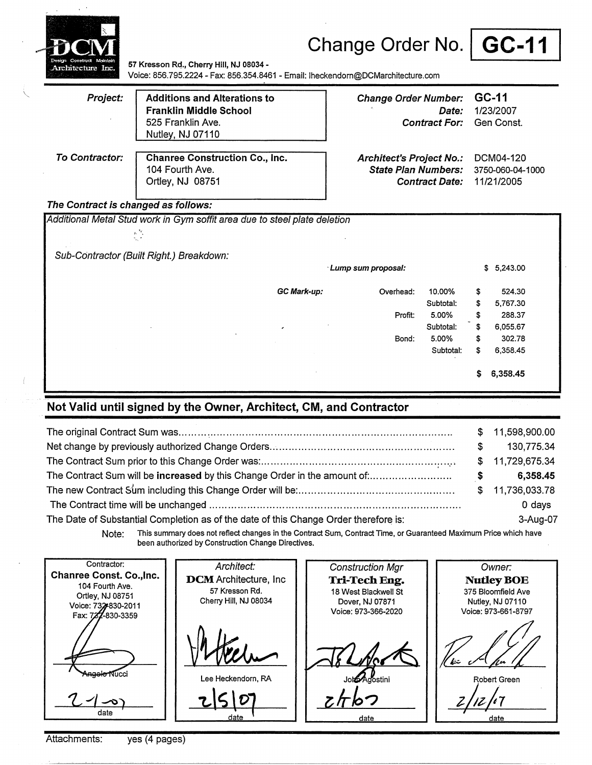



57 Kresson Rd., Cherry Hill, NJ 08034 -Voice: 856.795.2224 - Fax: 856.354.8461 - Email: lheckendorn@DCMarchitecture.com

| Project:       | <b>Additions and Alterations to</b><br><b>Franklin Middle School</b><br>525 Franklin Ave.<br>Nutley, NJ 07110 | Change Order Number: GC-11<br>Date:<br><b>Contract For:</b> | 1/23/2007<br>Gen Const. |
|----------------|---------------------------------------------------------------------------------------------------------------|-------------------------------------------------------------|-------------------------|
| To Contractor: | <b>Chanree Construction Co., Inc.</b>                                                                         | <b>Architect's Project No.:</b>                             | DCM04-120               |
|                | 104 Fourth Ave.                                                                                               | <b>State Plan Numbers:</b>                                  | 3750-060-04-1000        |
|                | Ortley, NJ 08751                                                                                              | <b>Contract Date:</b>                                       | 11/21/2005              |

#### **The Contract is changed as follows:**

Additional Metal Stud work in Gym soffit area due to steel plate deletion 经区 Sub-Contractor (Built Right.) Breakdown: · **Lump sum proposal:** \$ **5,243.00 GCMark-up:** Overhead: **10.00%** \$ **524.30**  Subtotal: \$ **5,767.30**  Profit: **5.00%** \$ **288.37**  Subtotal: \$ **6,055.67**  Bond: **5.00%** \$ **302.78**  Subtotal: \$ **6,358.45**  \$ **6,358.45** 

### **Not Valid until signed by the Owner, Architect, CM, and Contractor**

|                                                                                      |    | \$11,598,900.00 |
|--------------------------------------------------------------------------------------|----|-----------------|
|                                                                                      | S. | 130,775.34      |
|                                                                                      |    | \$11,729,675.34 |
|                                                                                      | S. | 6,358.45        |
|                                                                                      |    | \$11,736,033.78 |
|                                                                                      |    | 0 days          |
| The Date of Substantial Completion as of the date of this Change Order therefore is: |    | 3-Aug-07        |

Note: This summary does not reflect changes in the Contract Sum, Contract Time, or Guaranteed Maximum Price which have been authorized by Construction Change Directives.

Contractor: Architect: Owner: Construction Mgr Chanree Const. Co.,lnc. DCM Architecture, Inc. **NutleyBOE Tri-Tech Eng.**  104 Fourth Ave. 57 Kresson Rd. 18 West Blackwell St 375 Bloomfield Ave Ortley, NJ 08751 Cherry Hill, NJ 08034 Dover, NJ 07871 Nutley, NJ 07110 Voice: 732-830-2011 Voice: 973-366-2020 Voice: 973-661-8797 Fax: 722-830-3359 أآاددi koostini Lee Heckendorn, RA Robert Green *z/4/1* , • *i/rb?*  date date date

Attachments: yes (4 pages)